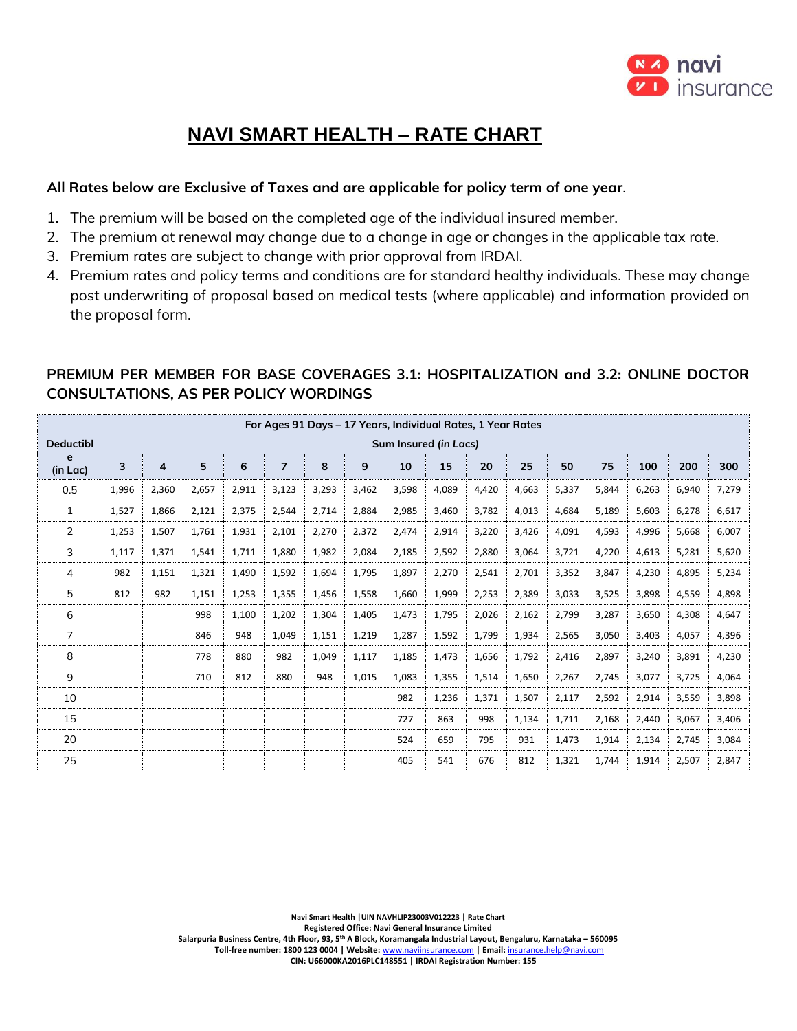

# **NAVI SMART HEALTH – RATE CHART**

### **All Rates below are Exclusive of Taxes and are applicable for policy term of one year**.

- 1. The premium will be based on the completed age of the individual insured member.
- 2. The premium at renewal may change due to a change in age or changes in the applicable tax rate.
- 3. Premium rates are subject to change with prior approval from IRDAI.
- 4. Premium rates and policy terms and conditions are for standard healthy individuals. These may change post underwriting of proposal based on medical tests (where applicable) and information provided on the proposal form.

|                  |       |       |       |       |                |       |       | For Ages 91 Days - 17 Years, Individual Rates, 1 Year Rates |       |       |       |       |       |       |       |       |
|------------------|-------|-------|-------|-------|----------------|-------|-------|-------------------------------------------------------------|-------|-------|-------|-------|-------|-------|-------|-------|
| <b>Deductibl</b> |       |       |       |       |                |       |       | Sum Insured (in Lacs)                                       |       |       |       |       |       |       |       |       |
| e<br>(in Lac)    | 3     | 4     | 5     | 6     | $\overline{7}$ | 8     | 9     | 10                                                          | 15    | 20    | 25    | 50    | 75    | 100   | 200   | 300   |
| 0.5              | 1,996 | 2,360 | 2,657 | 2,911 | 3,123          | 3,293 | 3,462 | 3,598                                                       | 4,089 | 4,420 | 4,663 | 5,337 | 5,844 | 6,263 | 6,940 | 7,279 |
| 1                | 1,527 | 1,866 | 2,121 | 2,375 | 2,544          | 2,714 | 2,884 | 2,985                                                       | 3,460 | 3,782 | 4,013 | 4,684 | 5,189 | 5,603 | 6,278 | 6,617 |
| $\overline{2}$   | 1,253 | 1,507 | 1,761 | 1,931 | 2,101          | 2,270 | 2,372 | 2,474                                                       | 2,914 | 3,220 | 3,426 | 4,091 | 4,593 | 4,996 | 5,668 | 6,007 |
| 3                | 1,117 | 1,371 | 1,541 | 1,711 | 1,880          | 1,982 | 2,084 | 2,185                                                       | 2,592 | 2,880 | 3,064 | 3,721 | 4,220 | 4,613 | 5,281 | 5,620 |
| 4                | 982   | 1,151 | 1,321 | 1,490 | 1,592          | 1,694 | 1,795 | 1,897                                                       | 2,270 | 2,541 | 2,701 | 3,352 | 3,847 | 4,230 | 4,895 | 5,234 |
| 5                | 812   | 982   | 1,151 | 1,253 | 1,355          | 1,456 | 1,558 | 1,660                                                       | 1,999 | 2,253 | 2,389 | 3,033 | 3,525 | 3,898 | 4,559 | 4,898 |
| 6                |       |       | 998   | 1,100 | 1,202          | 1,304 | 1,405 | 1,473                                                       | 1,795 | 2,026 | 2,162 | 2,799 | 3,287 | 3,650 | 4,308 | 4,647 |
| $\overline{7}$   |       |       | 846   | 948   | 1,049          | 1,151 | 1,219 | 1,287                                                       | 1,592 | 1,799 | 1,934 | 2,565 | 3,050 | 3,403 | 4,057 | 4,396 |
| 8                |       |       | 778   | 880   | 982            | 1,049 | 1,117 | 1,185                                                       | 1,473 | 1,656 | 1,792 | 2,416 | 2,897 | 3,240 | 3,891 | 4,230 |
| 9                |       |       | 710   | 812   | 880            | 948   | 1,015 | 1,083                                                       | 1,355 | 1,514 | 1,650 | 2,267 | 2,745 | 3,077 | 3,725 | 4,064 |
| 10               |       |       |       |       |                |       |       | 982                                                         | 1,236 | 1,371 | 1,507 | 2,117 | 2,592 | 2,914 | 3,559 | 3,898 |
| 15               |       |       |       |       |                |       |       | 727                                                         | 863   | 998   | 1,134 | 1,711 | 2,168 | 2,440 | 3,067 | 3,406 |
| 20               |       |       |       |       |                |       |       | 524                                                         | 659   | 795   | 931   | 1,473 | 1,914 | 2,134 | 2,745 | 3,084 |
| 25               |       |       |       |       |                |       |       | 405                                                         | 541   | 676   | 812   | 1,321 | 1,744 | 1,914 | 2,507 | 2,847 |

## **PREMIUM PER MEMBER FOR BASE COVERAGES 3.1: HOSPITALIZATION and 3.2: ONLINE DOCTOR CONSULTATIONS, AS PER POLICY WORDINGS**

**Navi Smart Health |UIN NAVHLIP23003V012223 | Rate Chart**

**Registered Office: Navi General Insurance Limited**

**Salarpuria Business Centre, 4th Floor, 93, 5th A Block, Koramangala Industrial Layout, Bengaluru, Karnataka – 560095 Toll-free number: 1800 123 0004 | Website:** [www.naviinsurance.com](http://www.naviinsurance.com/) **| Email:** [insurance.help@navi.com](mailto:insurance.help@navi.com)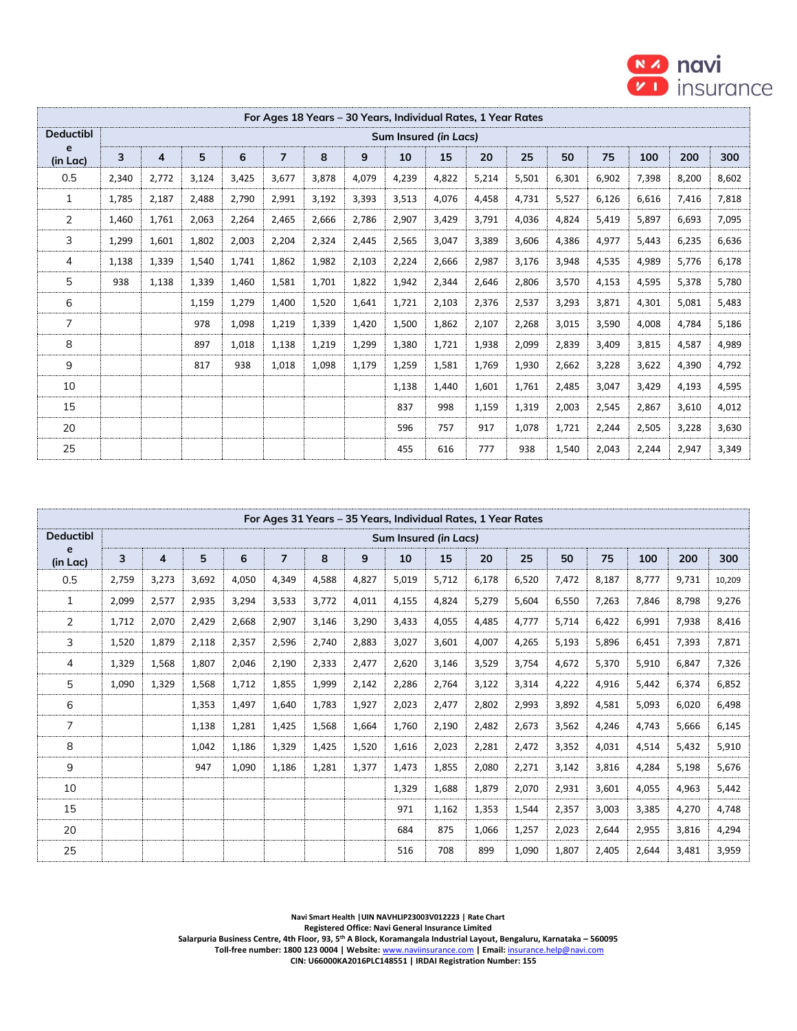

|                  |       |       |       |       |                |       | For Ages 18 Years – 30 Years, Individual Rates, 1 Year Rates |                       |       |       |       |       |       |       |       |       |
|------------------|-------|-------|-------|-------|----------------|-------|--------------------------------------------------------------|-----------------------|-------|-------|-------|-------|-------|-------|-------|-------|
| <b>Deductibl</b> |       |       |       |       |                |       |                                                              | Sum Insured (in Lacs) |       |       |       |       |       |       |       |       |
| e<br>(in Lac)    | 3     | 4     | 5     | 6     | $\overline{7}$ | 8     | 9                                                            | 10                    | 15    | 20    | 25    | 50    | 75    | 100   | 200   | 300   |
| 0.5              | 2,340 | 2,772 | 3,124 | 3,425 | 3,677          | 3,878 | 4,079                                                        | 4,239                 | 4,822 | 5,214 | 5,501 | 6,301 | 6,902 | 7,398 | 8,200 | 8,602 |
| $\mathbf{1}$     | 1,785 | 2,187 | 2,488 | 2,790 | 2,991          | 3,192 | 3,393                                                        | 3,513                 | 4,076 | 4,458 | 4,731 | 5,527 | 6,126 | 6,616 | 7,416 | 7,818 |
| $\overline{2}$   | 1,460 | 1,761 | 2,063 | 2,264 | 2,465          | 2,666 | 2,786                                                        | 2,907                 | 3,429 | 3,791 | 4,036 | 4,824 | 5,419 | 5,897 | 6,693 | 7,095 |
| 3                | 1,299 | 1,601 | 1,802 | 2,003 | 2,204          | 2,324 | 2,445                                                        | 2,565                 | 3,047 | 3,389 | 3,606 | 4,386 | 4,977 | 5,443 | 6,235 | 6,636 |
| 4                | 1,138 | 1,339 | 1,540 | 1,741 | 1,862          | 1,982 | 2,103                                                        | 2,224                 | 2,666 | 2,987 | 3,176 | 3,948 | 4,535 | 4,989 | 5,776 | 6,178 |
| 5                | 938   | 1,138 | 1,339 | 1,460 | 1,581          | 1,701 | 1,822                                                        | 1,942                 | 2,344 | 2,646 | 2,806 | 3,570 | 4,153 | 4,595 | 5,378 | 5,780 |
| 6                |       |       | 1,159 | 1,279 | 1,400          | 1,520 | 1,641                                                        | 1,721                 | 2,103 | 2,376 | 2,537 | 3,293 | 3,871 | 4,301 | 5,081 | 5,483 |
| $\overline{7}$   |       |       | 978   | 1,098 | 1,219          | 1,339 | 1,420                                                        | 1,500                 | 1,862 | 2,107 | 2,268 | 3,015 | 3,590 | 4,008 | 4,784 | 5,186 |
| 8                |       |       | 897   | 1,018 | 1,138          | 1,219 | 1,299                                                        | 1,380                 | 1,721 | 1,938 | 2,099 | 2,839 | 3,409 | 3,815 | 4,587 | 4,989 |
| 9                |       |       | 817   | 938   | 1,018          | 1,098 | 1,179                                                        | 1,259                 | 1,581 | 1,769 | 1,930 | 2,662 | 3,228 | 3,622 | 4,390 | 4,792 |
| 10               |       |       |       |       |                |       |                                                              | 1,138                 | 1,440 | 1,601 | 1,761 | 2,485 | 3,047 | 3,429 | 4,193 | 4,595 |
| 15               |       |       |       |       |                |       |                                                              | 837                   | 998   | 1,159 | 1,319 | 2,003 | 2,545 | 2,867 | 3,610 | 4,012 |
| 20               |       |       |       |       |                |       |                                                              | 596                   | 757   | 917   | 1,078 | 1,721 | 2,244 | 2,505 | 3,228 | 3,630 |
| 25               |       |       |       |       |                |       |                                                              | 455                   | 616   | 777   | 938   | 1,540 | 2,043 | 2,244 | 2,947 | 3,349 |

|                  |       |       |       |       |                |       |       | For Ages 31 Years - 35 Years, Individual Rates, 1 Year Rates |       |       |       |       |       |       |       |        |
|------------------|-------|-------|-------|-------|----------------|-------|-------|--------------------------------------------------------------|-------|-------|-------|-------|-------|-------|-------|--------|
| <b>Deductibl</b> |       |       |       |       |                |       |       | Sum Insured (in Lacs)                                        |       |       |       |       |       |       |       |        |
| e<br>(in Lac)    | 3     | 4     | 5     | 6     | $\overline{7}$ | 8     | 9     | 10                                                           | 15    | 20    | 25    | 50    | 75    | 100   | 200   | 300    |
| 0.5              | 2,759 | 3,273 | 3,692 | 4,050 | 4,349          | 4,588 | 4,827 | 5,019                                                        | 5,712 | 6,178 | 6,520 | 7,472 | 8,187 | 8,777 | 9,731 | 10,209 |
| $\mathbf{1}$     | 2,099 | 2,577 | 2,935 | 3,294 | 3,533          | 3,772 | 4,011 | 4,155                                                        | 4,824 | 5,279 | 5,604 | 6,550 | 7,263 | 7,846 | 8,798 | 9,276  |
| 2                | 1,712 | 2,070 | 2,429 | 2,668 | 2,907          | 3,146 | 3,290 | 3,433                                                        | 4,055 | 4,485 | 4,777 | 5.714 | 6,422 | 6,991 | 7,938 | 8,416  |
| 3                | 1,520 | 1,879 | 2,118 | 2,357 | 2,596          | 2,740 | 2,883 | 3,027                                                        | 3,601 | 4.007 | 4,265 | 5,193 | 5,896 | 6,451 | 7,393 | 7,871  |
| 4                | 1,329 | 1,568 | 1,807 | 2,046 | 2,190          | 2,333 | 2,477 | 2,620                                                        | 3,146 | 3,529 | 3,754 | 4,672 | 5,370 | 5,910 | 6,847 | 7,326  |
| 5                | 1,090 | 1,329 | 1,568 | 1,712 | 1,855          | 1,999 | 2,142 | 2,286                                                        | 2,764 | 3,122 | 3,314 | 4,222 | 4,916 | 5,442 | 6,374 | 6,852  |
| 6                |       |       | 1,353 | 1,497 | 1,640          | 1,783 | 1,927 | 2,023                                                        | 2,477 | 2,802 | 2,993 | 3,892 | 4,581 | 5,093 | 6,020 | 6,498  |
| 7                |       |       | 1,138 | 1,281 | 1,425          | 1,568 | 1,664 | 1,760                                                        | 2,190 | 2,482 | 2,673 | 3,562 | 4,246 | 4,743 | 5,666 | 6,145  |
| 8                |       |       | 1,042 | 1,186 | 1,329          | 1,425 | 1,520 | 1,616                                                        | 2,023 | 2,281 | 2,472 | 3,352 | 4,031 | 4,514 | 5,432 | 5,910  |
| 9                |       |       | 947   | 1,090 | 1,186          | 1,281 | 1,377 | 1,473                                                        | 1,855 | 2,080 | 2,271 | 3,142 | 3,816 | 4,284 | 5,198 | 5,676  |
| 10               |       |       |       |       |                |       |       | 1,329                                                        | 1,688 | 1,879 | 2,070 | 2,931 | 3,601 | 4,055 | 4,963 | 5,442  |
| 15               |       |       |       |       |                |       |       | 971                                                          | 1,162 | 1,353 | 1,544 | 2,357 | 3,003 | 3,385 | 4,270 | 4,748  |
| 20               |       |       |       |       |                |       |       | 684                                                          | 875   | 1,066 | 1,257 | 2,023 | 2,644 | 2,955 | 3,816 | 4,294  |
| 25               |       |       |       |       |                |       |       | 516                                                          | 708   | 899   | 1,090 | 1,807 | 2,405 | 2,644 | 3,481 | 3,959  |

**Navi Smart Health |UIN NAVHLIP23003V012223 | Rate Chart**

**Registered Office: Navi General Insurance Limited**

**Salarpuria Business Centre, 4th Floor, 93, 5th A Block, Koramangala Industrial Layout, Bengaluru, Karnataka – 560095 Toll-free number: 1800 123 0004 | Website:** [www.naviinsurance.com](http://www.naviinsurance.com/) **| Email:** [insurance.help@navi.com](mailto:insurance.help@navi.com)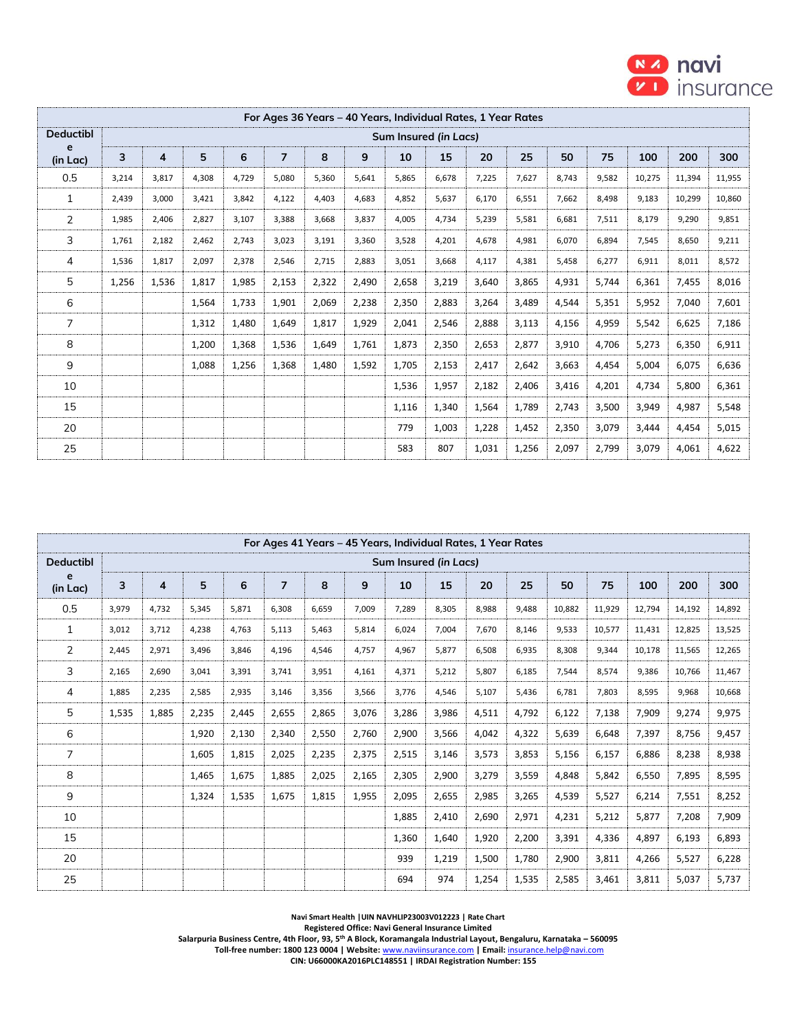

|                  |       |                |       |       |                |       | For Ages 36 Years - 40 Years, Individual Rates, 1 Year Rates |                       |       |       |       |       |       |        |        |        |
|------------------|-------|----------------|-------|-------|----------------|-------|--------------------------------------------------------------|-----------------------|-------|-------|-------|-------|-------|--------|--------|--------|
| <b>Deductibl</b> |       |                |       |       |                |       |                                                              | Sum Insured (in Lacs) |       |       |       |       |       |        |        |        |
| e<br>(in Lac)    | 3     | $\overline{4}$ | 5     | 6     | $\overline{7}$ | 8     | 9                                                            | 10                    | 15    | 20    | 25    | 50    | 75    | 100    | 200    | 300    |
| 0.5              | 3,214 | 3.817          | 4,308 | 4.729 | 5.080          | 5,360 | 5,641                                                        | 5,865                 | 6.678 | 7,225 | 7.627 | 8,743 | 9,582 | 10,275 | 11,394 | 11,955 |
| 1                | 2,439 | 3,000          | 3,421 | 3,842 | 4,122          | 4,403 | 4,683                                                        | 4,852                 | 5,637 | 6,170 | 6,551 | 7,662 | 8,498 | 9,183  | 10,299 | 10,860 |
| $\overline{2}$   | 1,985 | 2,406          | 2,827 | 3,107 | 3,388          | 3,668 | 3,837                                                        | 4,005                 | 4,734 | 5,239 | 5,581 | 6,681 | 7,511 | 8,179  | 9,290  | 9,851  |
| 3                | 1,761 | 2,182          | 2,462 | 2,743 | 3,023          | 3,191 | 3,360                                                        | 3,528                 | 4,201 | 4,678 | 4,981 | 6,070 | 6,894 | 7,545  | 8,650  | 9,211  |
| 4                | 1,536 | 1,817          | 2,097 | 2,378 | 2,546          | 2,715 | 2,883                                                        | 3,051                 | 3,668 | 4,117 | 4,381 | 5,458 | 6,277 | 6,911  | 8,011  | 8,572  |
| 5                | 1,256 | 1,536          | 1,817 | 1,985 | 2,153          | 2,322 | 2,490                                                        | 2,658                 | 3,219 | 3,640 | 3,865 | 4,931 | 5,744 | 6,361  | 7,455  | 8,016  |
| 6                |       |                | 1,564 | 1,733 | 1,901          | 2,069 | 2,238                                                        | 2,350                 | 2,883 | 3,264 | 3,489 | 4,544 | 5,351 | 5,952  | 7,040  | 7,601  |
| $\overline{7}$   |       |                | 1,312 | 1,480 | 1,649          | 1,817 | 1,929                                                        | 2,041                 | 2,546 | 2,888 | 3,113 | 4,156 | 4,959 | 5,542  | 6,625  | 7,186  |
| 8                |       |                | 1,200 | 1,368 | 1,536          | 1,649 | 1,761                                                        | 1,873                 | 2,350 | 2,653 | 2,877 | 3,910 | 4,706 | 5,273  | 6,350  | 6,911  |
| 9                |       |                | 1,088 | 1,256 | 1,368          | 1,480 | 1,592                                                        | 1,705                 | 2,153 | 2,417 | 2,642 | 3,663 | 4,454 | 5,004  | 6,075  | 6,636  |
| 10               |       |                |       |       |                |       |                                                              | 1,536                 | 1,957 | 2,182 | 2,406 | 3,416 | 4,201 | 4,734  | 5,800  | 6,361  |
| 15               |       |                |       |       |                |       |                                                              | 1,116                 | 1,340 | 1,564 | 1,789 | 2,743 | 3,500 | 3,949  | 4,987  | 5,548  |
| 20               |       |                |       |       |                |       |                                                              | 779                   | 1,003 | 1,228 | 1,452 | 2,350 | 3,079 | 3,444  | 4,454  | 5,015  |
| 25               |       |                |       |       |                |       |                                                              | 583                   | 807   | 1,031 | 1,256 | 2,097 | 2,799 | 3,079  | 4,061  | 4,622  |

|                  |       |       |       |       |                |       |       | For Ages 41 Years - 45 Years, Individual Rates, 1 Year Rates |       |       |       |        |        |        |        |        |
|------------------|-------|-------|-------|-------|----------------|-------|-------|--------------------------------------------------------------|-------|-------|-------|--------|--------|--------|--------|--------|
| <b>Deductibl</b> |       |       |       |       |                |       |       | Sum Insured (in Lacs)                                        |       |       |       |        |        |        |        |        |
| e<br>(in Lac)    | 3     | 4     | 5     | 6     | $\overline{ }$ | 8     | 9     | 10                                                           | 15    | 20    | 25    | 50     | 75     | 100    | 200    | 300    |
| 0.5              | 3,979 | 4,732 | 5,345 | 5,871 | 6,308          | 6,659 | 7,009 | 7,289                                                        | 8,305 | 8,988 | 9,488 | 10,882 | 11,929 | 12,794 | 14,192 | 14,892 |
| $\mathbf{1}$     | 3,012 | 3,712 | 4,238 | 4,763 | 5,113          | 5,463 | 5,814 | 6,024                                                        | 7,004 | 7,670 | 8,146 | 9,533  | 10,577 | 11,431 | 12,825 | 13,525 |
| $\overline{2}$   | 2,445 | 2,971 | 3,496 | 3.846 | 4,196          | 4,546 | 4,757 | 4,967                                                        | 5,877 | 6,508 | 6,935 | 8,308  | 9,344  | 10,178 | 11,565 | 12,265 |
| 3                | 2,165 | 2,690 | 3,041 | 3,391 | 3,741          | 3,951 | 4,161 | 4,371                                                        | 5,212 | 5,807 | 6,185 | 7,544  | 8,574  | 9,386  | 10,766 | 11,467 |
| 4                | 1,885 | 2,235 | 2,585 | 2,935 | 3,146          | 3,356 | 3,566 | 3,776                                                        | 4,546 | 5,107 | 5,436 | 6,781  | 7.803  | 8,595  | 9,968  | 10,668 |
| 5                | 1,535 | 1,885 | 2,235 | 2,445 | 2,655          | 2,865 | 3,076 | 3,286                                                        | 3,986 | 4,511 | 4,792 | 6,122  | 7,138  | 7,909  | 9,274  | 9,975  |
| 6                |       |       | 1,920 | 2,130 | 2,340          | 2,550 | 2,760 | 2,900                                                        | 3,566 | 4,042 | 4,322 | 5,639  | 6,648  | 7,397  | 8,756  | 9,457  |
| 7                |       |       | 1,605 | 1.815 | 2,025          | 2,235 | 2,375 | 2,515                                                        | 3,146 | 3,573 | 3,853 | 5,156  | 6,157  | 6,886  | 8,238  | 8,938  |
| 8                |       |       | 1,465 | 1,675 | 1,885          | 2,025 | 2,165 | 2,305                                                        | 2,900 | 3,279 | 3,559 | 4,848  | 5,842  | 6,550  | 7,895  | 8,595  |
| 9                |       |       | 1,324 | 1,535 | 1,675          | 1,815 | 1,955 | 2,095                                                        | 2,655 | 2,985 | 3,265 | 4,539  | 5,527  | 6,214  | 7,551  | 8,252  |
| 10               |       |       |       |       |                |       |       | 1,885                                                        | 2,410 | 2,690 | 2,971 | 4,231  | 5,212  | 5,877  | 7,208  | 7,909  |
| 15               |       |       |       |       |                |       |       | 1,360                                                        | 1,640 | 1,920 | 2,200 | 3,391  | 4,336  | 4,897  | 6,193  | 6,893  |
| 20               |       |       |       |       |                |       |       | 939                                                          | 1,219 | 1,500 | 1,780 | 2,900  | 3,811  | 4,266  | 5,527  | 6,228  |
| 25               |       |       |       |       |                |       |       | 694                                                          | 974   | 1,254 | 1,535 | 2,585  | 3,461  | 3,811  | 5,037  | 5,737  |

**Navi Smart Health |UIN NAVHLIP23003V012223 | Rate Chart**

**Registered Office: Navi General Insurance Limited**

**Salarpuria Business Centre, 4th Floor, 93, 5th A Block, Koramangala Industrial Layout, Bengaluru, Karnataka – 560095**

 **Toll-free number: 1800 123 0004 | Website:** [www.naviinsurance.com](http://www.naviinsurance.com/) **| Email:** [insurance.help@navi.com](mailto:insurance.help@navi.com)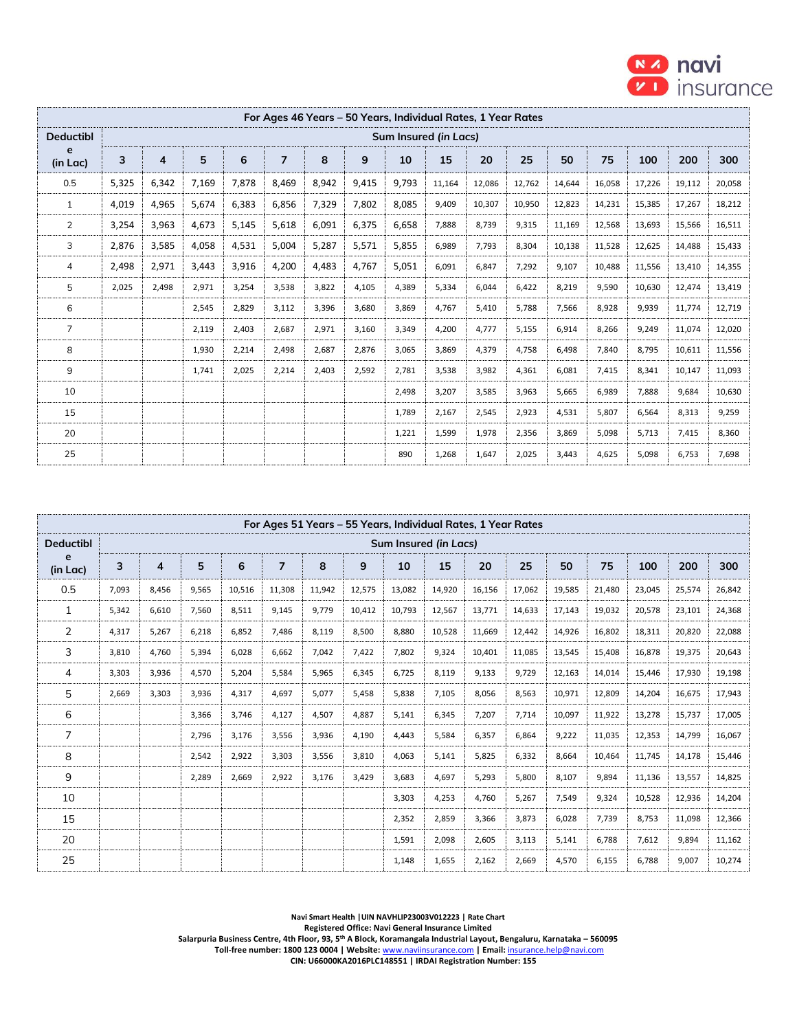

|                  |       |                |       |       | For Ages 46 Years – 50 Years, Individual Rates, 1 Year Rates |       |       |                       |        |        |        |        |        |        |        |        |
|------------------|-------|----------------|-------|-------|--------------------------------------------------------------|-------|-------|-----------------------|--------|--------|--------|--------|--------|--------|--------|--------|
| <b>Deductibl</b> |       |                |       |       |                                                              |       |       | Sum Insured (in Lacs) |        |        |        |        |        |        |        |        |
| e<br>(in Lac)    | 3     | $\overline{4}$ | 5     | 6     | $\overline{7}$                                               | 8     | 9     | 10                    | 15     | 20     | 25     | 50     | 75     | 100    | 200    | 300    |
| 0.5              | 5,325 | 6,342          | 7,169 | 7,878 | 8,469                                                        | 8,942 | 9,415 | 9,793                 | 11,164 | 12,086 | 12,762 | 14,644 | 16,058 | 17,226 | 19,112 | 20,058 |
| $\mathbf{1}$     | 4,019 | 4,965          | 5,674 | 6,383 | 6,856                                                        | 7,329 | 7,802 | 8,085                 | 9,409  | 10,307 | 10,950 | 12,823 | 14,231 | 15,385 | 17,267 | 18,212 |
| $\overline{2}$   | 3,254 | 3,963          | 4,673 | 5,145 | 5,618                                                        | 6,091 | 6,375 | 6,658                 | 7,888  | 8,739  | 9,315  | 11,169 | 12,568 | 13,693 | 15,566 | 16,511 |
| 3                | 2,876 | 3,585          | 4,058 | 4,531 | 5,004                                                        | 5,287 | 5,571 | 5,855                 | 6,989  | 7,793  | 8,304  | 10,138 | 11,528 | 12,625 | 14,488 | 15,433 |
| 4                | 2,498 | 2,971          | 3,443 | 3,916 | 4,200                                                        | 4,483 | 4,767 | 5,051                 | 6,091  | 6,847  | 7,292  | 9,107  | 10,488 | 11,556 | 13,410 | 14,355 |
| 5                | 2,025 | 2,498          | 2,971 | 3,254 | 3,538                                                        | 3,822 | 4,105 | 4,389                 | 5,334  | 6,044  | 6,422  | 8,219  | 9,590  | 10,630 | 12,474 | 13,419 |
| 6                |       |                | 2,545 | 2,829 | 3,112                                                        | 3,396 | 3,680 | 3,869                 | 4.767  | 5,410  | 5.788  | 7,566  | 8,928  | 9,939  | 11,774 | 12,719 |
| $\overline{7}$   |       |                | 2,119 | 2,403 | 2,687                                                        | 2,971 | 3,160 | 3,349                 | 4,200  | 4.777  | 5,155  | 6,914  | 8,266  | 9,249  | 11,074 | 12,020 |
| 8                |       |                | 1,930 | 2,214 | 2,498                                                        | 2,687 | 2,876 | 3,065                 | 3,869  | 4,379  | 4,758  | 6,498  | 7,840  | 8,795  | 10,611 | 11,556 |
| 9                |       |                | 1,741 | 2,025 | 2,214                                                        | 2,403 | 2,592 | 2,781                 | 3,538  | 3,982  | 4,361  | 6,081  | 7,415  | 8,341  | 10,147 | 11,093 |
| 10               |       |                |       |       |                                                              |       |       | 2,498                 | 3,207  | 3,585  | 3,963  | 5,665  | 6,989  | 7,888  | 9,684  | 10,630 |
| 15               |       |                |       |       |                                                              |       |       | 1,789                 | 2,167  | 2,545  | 2,923  | 4,531  | 5,807  | 6,564  | 8,313  | 9,259  |
| 20               |       |                |       |       |                                                              |       |       | 1,221                 | 1,599  | 1,978  | 2,356  | 3,869  | 5,098  | 5,713  | 7,415  | 8,360  |
| 25               |       |                |       |       |                                                              |       |       | 890                   | 1,268  | 1,647  | 2,025  | 3,443  | 4,625  | 5,098  | 6,753  | 7,698  |

|                  |       |       |       |        |                |        | For Ages 51 Years - 55 Years, Individual Rates, 1 Year Rates |                       |        |        |        |        |        |        |        |        |
|------------------|-------|-------|-------|--------|----------------|--------|--------------------------------------------------------------|-----------------------|--------|--------|--------|--------|--------|--------|--------|--------|
| <b>Deductibl</b> |       |       |       |        |                |        |                                                              | Sum Insured (in Lacs) |        |        |        |        |        |        |        |        |
| e<br>(in Lac)    | 3     | 4     | 5     | 6      | $\overline{7}$ | 8      | 9                                                            | 10                    | 15     | 20     | 25     | 50     | 75     | 100    | 200    | 300    |
| 0.5              | 7,093 | 8,456 | 9,565 | 10,516 | 11,308         | 11,942 | 12,575                                                       | 13,082                | 14,920 | 16,156 | 17,062 | 19,585 | 21,480 | 23,045 | 25,574 | 26,842 |
| $\mathbf{1}$     | 5,342 | 6,610 | 7,560 | 8,511  | 9,145          | 9,779  | 10,412                                                       | 10,793                | 12,567 | 13,771 | 14,633 | 17,143 | 19,032 | 20,578 | 23,101 | 24,368 |
| $\overline{2}$   | 4,317 | 5,267 | 6,218 | 6,852  | 7,486          | 8,119  | 8,500                                                        | 8,880                 | 10,528 | 11,669 | 12,442 | 14,926 | 16,802 | 18,311 | 20,820 | 22,088 |
| 3                | 3,810 | 4,760 | 5,394 | 6,028  | 6,662          | 7,042  | 7,422                                                        | 7,802                 | 9,324  | 10,401 | 11,085 | 13,545 | 15,408 | 16,878 | 19,375 | 20,643 |
| 4                | 3,303 | 3,936 | 4,570 | 5.204  | 5,584          | 5,965  | 6,345                                                        | 6,725                 | 8,119  | 9,133  | 9,729  | 12,163 | 14,014 | 15,446 | 17,930 | 19,198 |
| 5                | 2,669 | 3,303 | 3,936 | 4,317  | 4,697          | 5,077  | 5,458                                                        | 5,838                 | 7,105  | 8,056  | 8,563  | 10,971 | 12,809 | 14,204 | 16,675 | 17,943 |
| 6                |       |       | 3,366 | 3.746  | 4,127          | 4,507  | 4,887                                                        | 5,141                 | 6,345  | 7,207  | 7,714  | 10,097 | 11,922 | 13,278 | 15,737 | 17,005 |
| $\overline{7}$   |       |       | 2,796 | 3,176  | 3,556          | 3,936  | 4,190                                                        | 4,443                 | 5,584  | 6,357  | 6,864  | 9,222  | 11,035 | 12,353 | 14,799 | 16,067 |
| 8                |       |       | 2,542 | 2,922  | 3,303          | 3,556  | 3,810                                                        | 4,063                 | 5,141  | 5,825  | 6,332  | 8,664  | 10,464 | 11,745 | 14,178 | 15,446 |
| 9                |       |       | 2,289 | 2,669  | 2,922          | 3,176  | 3,429                                                        | 3,683                 | 4,697  | 5,293  | 5,800  | 8,107  | 9,894  | 11,136 | 13,557 | 14,825 |
| 10               |       |       |       |        |                |        |                                                              | 3,303                 | 4,253  | 4,760  | 5,267  | 7,549  | 9,324  | 10,528 | 12,936 | 14,204 |
| 15               |       |       |       |        |                |        |                                                              | 2,352                 | 2,859  | 3,366  | 3,873  | 6,028  | 7,739  | 8,753  | 11,098 | 12,366 |
| 20               |       |       |       |        |                |        |                                                              | 1,591                 | 2,098  | 2,605  | 3,113  | 5,141  | 6,788  | 7,612  | 9,894  | 11,162 |
| 25               |       |       |       |        |                |        |                                                              | 1,148                 | 1,655  | 2,162  | 2,669  | 4,570  | 6,155  | 6,788  | 9,007  | 10,274 |

**Navi Smart Health |UIN NAVHLIP23003V012223 | Rate Chart Registered Office: Navi General Insurance Limited**

**Salarpuria Business Centre, 4th Floor, 93, 5th A Block, Koramangala Industrial Layout, Bengaluru, Karnataka – 560095 Toll-free number: 1800 123 0004 | Website:** [www.naviinsurance.com](http://www.naviinsurance.com/) **| Email:** [insurance.help@navi.com](mailto:insurance.help@navi.com)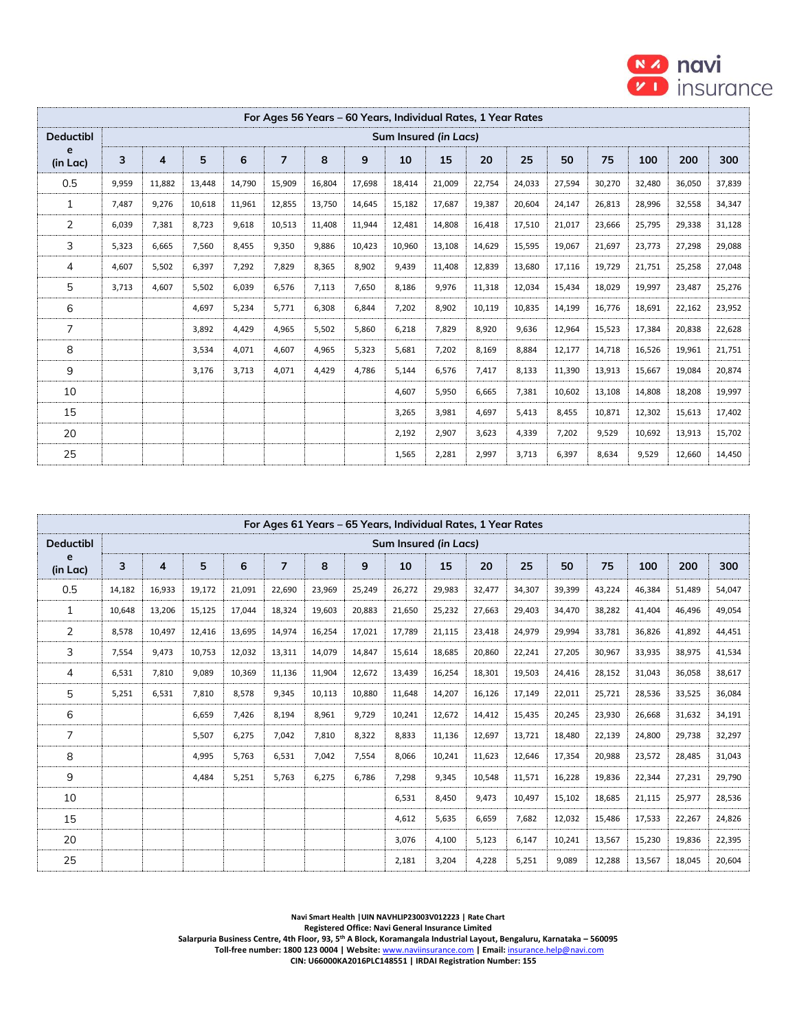

|                  |       |                |        |        |                |        |        | For Ages 56 Years – 60 Years, Individual Rates, 1 Year Rates |        |        |        |        |        |        |        |        |
|------------------|-------|----------------|--------|--------|----------------|--------|--------|--------------------------------------------------------------|--------|--------|--------|--------|--------|--------|--------|--------|
| <b>Deductibl</b> |       |                |        |        |                |        |        | Sum Insured (in Lacs)                                        |        |        |        |        |        |        |        |        |
| e<br>(in Lac)    | 3     | $\overline{4}$ | 5      | 6      | $\overline{7}$ | 8      | 9      | 10                                                           | 15     | 20     | 25     | 50     | 75     | 100    | 200    | 300    |
| 0.5              | 9,959 | 11,882         | 13,448 | 14,790 | 15,909         | 16,804 | 17,698 | 18,414                                                       | 21,009 | 22,754 | 24,033 | 27,594 | 30,270 | 32,480 | 36,050 | 37,839 |
| 1                | 7,487 | 9,276          | 10,618 | 11,961 | 12,855         | 13,750 | 14,645 | 15,182                                                       | 17,687 | 19,387 | 20,604 | 24,147 | 26,813 | 28,996 | 32,558 | 34,347 |
| 2                | 6,039 | 7,381          | 8,723  | 9,618  | 10,513         | 11,408 | 11,944 | 12,481                                                       | 14,808 | 16,418 | 17,510 | 21,017 | 23,666 | 25,795 | 29,338 | 31,128 |
| 3                | 5,323 | 6,665          | 7,560  | 8,455  | 9,350          | 9,886  | 10,423 | 10,960                                                       | 13,108 | 14,629 | 15,595 | 19,067 | 21,697 | 23,773 | 27,298 | 29,088 |
| 4                | 4,607 | 5,502          | 6,397  | 7,292  | 7,829          | 8,365  | 8,902  | 9,439                                                        | 11,408 | 12,839 | 13,680 | 17,116 | 19,729 | 21,751 | 25,258 | 27,048 |
| 5                | 3,713 | 4,607          | 5,502  | 6,039  | 6,576          | 7,113  | 7,650  | 8,186                                                        | 9,976  | 11,318 | 12,034 | 15,434 | 18,029 | 19,997 | 23,487 | 25,276 |
| 6                |       |                | 4,697  | 5,234  | 5,771          | 6,308  | 6,844  | 7,202                                                        | 8,902  | 10,119 | 10,835 | 14,199 | 16,776 | 18,691 | 22,162 | 23,952 |
| 7                |       |                | 3,892  | 4,429  | 4,965          | 5,502  | 5,860  | 6,218                                                        | 7,829  | 8,920  | 9,636  | 12,964 | 15,523 | 17,384 | 20,838 | 22,628 |
| 8                |       |                | 3,534  | 4,071  | 4,607          | 4,965  | 5,323  | 5,681                                                        | 7,202  | 8,169  | 8,884  | 12,177 | 14,718 | 16,526 | 19,961 | 21,751 |
| 9                |       |                | 3,176  | 3,713  | 4,071          | 4,429  | 4,786  | 5,144                                                        | 6,576  | 7,417  | 8,133  | 11,390 | 13,913 | 15,667 | 19,084 | 20,874 |
| 10               |       |                |        |        |                |        |        | 4,607                                                        | 5,950  | 6,665  | 7,381  | 10,602 | 13,108 | 14,808 | 18,208 | 19,997 |
| 15               |       |                |        |        |                |        |        | 3,265                                                        | 3,981  | 4,697  | 5,413  | 8,455  | 10,871 | 12,302 | 15,613 | 17,402 |
| 20               |       |                |        |        |                |        |        | 2,192                                                        | 2,907  | 3,623  | 4,339  | 7,202  | 9,529  | 10,692 | 13,913 | 15,702 |
| 25               |       |                |        |        |                |        |        | 1,565                                                        | 2,281  | 2,997  | 3,713  | 6,397  | 8,634  | 9,529  | 12,660 | 14,450 |

|                  |        |        |        |        |                |        |        |                       |        | For Ages 61 Years - 65 Years, Individual Rates, 1 Year Rates |        |        |        |        |        |        |
|------------------|--------|--------|--------|--------|----------------|--------|--------|-----------------------|--------|--------------------------------------------------------------|--------|--------|--------|--------|--------|--------|
| <b>Deductibl</b> |        |        |        |        |                |        |        | Sum Insured (in Lacs) |        |                                                              |        |        |        |        |        |        |
| e<br>(in Lac)    | 3      | 4      | 5      | 6      | $\overline{7}$ | 8      | 9      | 10                    | 15     | 20                                                           | 25     | 50     | 75     | 100    | 200    | 300    |
| 0.5              | 14,182 | 16,933 | 19,172 | 21,091 | 22,690         | 23,969 | 25,249 | 26,272                | 29,983 | 32,477                                                       | 34,307 | 39,399 | 43,224 | 46,384 | 51,489 | 54,047 |
| $\mathbf{1}$     | 10,648 | 13,206 | 15,125 | 17,044 | 18,324         | 19,603 | 20,883 | 21,650                | 25,232 | 27,663                                                       | 29,403 | 34,470 | 38,282 | 41,404 | 46,496 | 49,054 |
| $\overline{2}$   | 8,578  | 10,497 | 12,416 | 13,695 | 14,974         | 16,254 | 17,021 | 17,789                | 21,115 | 23,418                                                       | 24,979 | 29,994 | 33,781 | 36,826 | 41,892 | 44,451 |
| 3                | 7,554  | 9,473  | 10,753 | 12,032 | 13,311         | 14,079 | 14,847 | 15,614                | 18,685 | 20,860                                                       | 22,241 | 27,205 | 30,967 | 33,935 | 38,975 | 41,534 |
| 4                | 6,531  | 7,810  | 9.089  | 10,369 | 11,136         | 11,904 | 12,672 | 13,439                | 16,254 | 18,301                                                       | 19,503 | 24,416 | 28,152 | 31,043 | 36,058 | 38,617 |
| 5                | 5,251  | 6,531  | 7.810  | 8,578  | 9,345          | 10,113 | 10,880 | 11,648                | 14,207 | 16,126                                                       | 17,149 | 22,011 | 25,721 | 28,536 | 33,525 | 36,084 |
| 6                |        |        | 6,659  | 7,426  | 8,194          | 8,961  | 9,729  | 10,241                | 12,672 | 14,412                                                       | 15,435 | 20,245 | 23,930 | 26,668 | 31,632 | 34,191 |
| $\overline{7}$   |        |        | 5,507  | 6,275  | 7,042          | 7,810  | 8,322  | 8,833                 | 11,136 | 12,697                                                       | 13,721 | 18,480 | 22,139 | 24,800 | 29,738 | 32,297 |
| 8                |        |        | 4,995  | 5,763  | 6,531          | 7,042  | 7,554  | 8,066                 | 10,241 | 11,623                                                       | 12,646 | 17,354 | 20,988 | 23,572 | 28,485 | 31,043 |
| 9                |        |        | 4,484  | 5,251  | 5,763          | 6,275  | 6,786  | 7,298                 | 9,345  | 10,548                                                       | 11,571 | 16,228 | 19,836 | 22,344 | 27,231 | 29,790 |
| 10               |        |        |        |        |                |        |        | 6,531                 | 8,450  | 9,473                                                        | 10,497 | 15,102 | 18,685 | 21,115 | 25,977 | 28,536 |
| 15               |        |        |        |        |                |        |        | 4,612                 | 5,635  | 6,659                                                        | 7,682  | 12,032 | 15,486 | 17,533 | 22,267 | 24,826 |
| 20               |        |        |        |        |                |        |        | 3,076                 | 4,100  | 5,123                                                        | 6,147  | 10,241 | 13,567 | 15,230 | 19,836 | 22,395 |
| 25               |        |        |        |        |                |        |        | 2,181                 | 3,204  | 4,228                                                        | 5,251  | 9,089  | 12,288 | 13,567 | 18,045 | 20,604 |

**Navi Smart Health |UIN NAVHLIP23003V012223 | Rate Chart Registered Office: Navi General Insurance Limited**

**Salarpuria Business Centre, 4th Floor, 93, 5th A Block, Koramangala Industrial Layout, Bengaluru, Karnataka – 560095 Toll-free number: 1800 123 0004 | Website:** [www.naviinsurance.com](http://www.naviinsurance.com/) **| Email:** [insurance.help@navi.com](mailto:insurance.help@navi.com)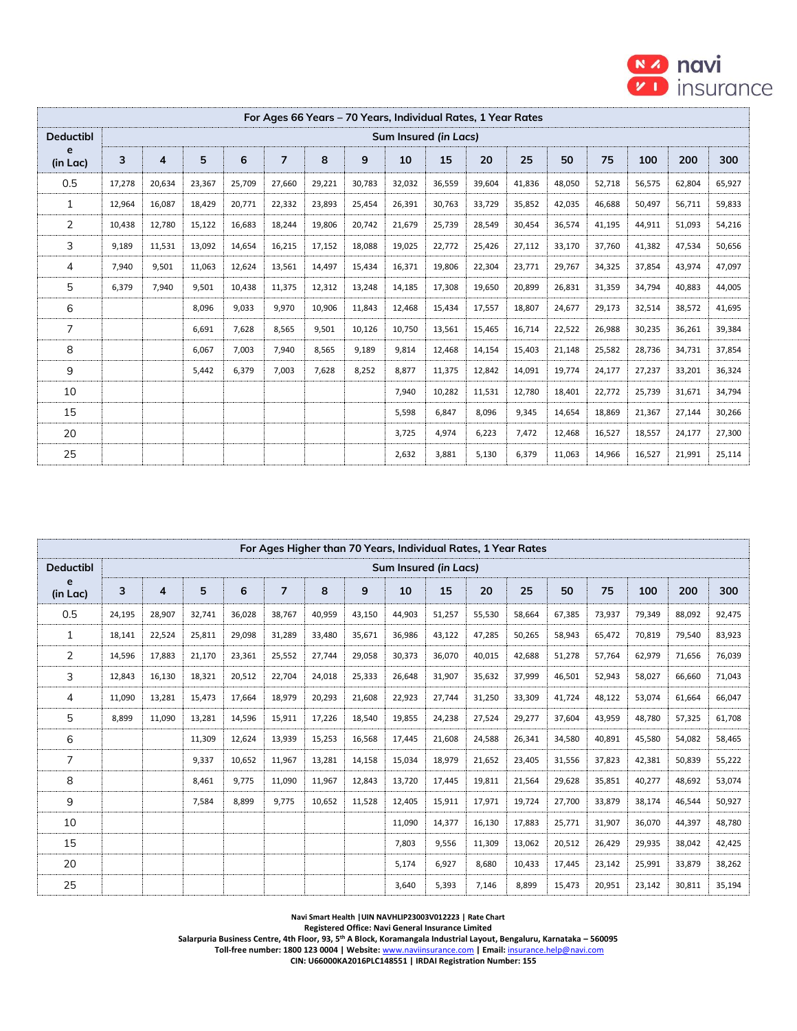

|                  |        |                |        |        | For Ages 66 Years – 70 Years, Individual Rates, 1 Year Rates |        |        |        |                       |        |        |        |        |        |        |        |
|------------------|--------|----------------|--------|--------|--------------------------------------------------------------|--------|--------|--------|-----------------------|--------|--------|--------|--------|--------|--------|--------|
| <b>Deductibl</b> |        |                |        |        |                                                              |        |        |        | Sum Insured (in Lacs) |        |        |        |        |        |        |        |
| e<br>(in Lac)    | 3      | $\overline{4}$ | 5      | 6      | $\overline{ }$                                               | 8      | 9      | 10     | 15                    | 20     | 25     | 50     | 75     | 100    | 200    | 300    |
| 0.5              | 17,278 | 20,634         | 23,367 | 25,709 | 27,660                                                       | 29,221 | 30,783 | 32,032 | 36,559                | 39,604 | 41,836 | 48,050 | 52,718 | 56,575 | 62,804 | 65,927 |
| 1                | 12,964 | 16,087         | 18,429 | 20,771 | 22,332                                                       | 23,893 | 25,454 | 26,391 | 30,763                | 33,729 | 35,852 | 42,035 | 46,688 | 50,497 | 56,711 | 59,833 |
| 2                | 10,438 | 12,780         | 15,122 | 16,683 | 18,244                                                       | 19,806 | 20,742 | 21,679 | 25,739                | 28,549 | 30,454 | 36,574 | 41,195 | 44,911 | 51,093 | 54,216 |
| 3                | 9,189  | 11,531         | 13,092 | 14,654 | 16,215                                                       | 17,152 | 18,088 | 19,025 | 22,772                | 25,426 | 27,112 | 33,170 | 37,760 | 41,382 | 47,534 | 50,656 |
| 4                | 7,940  | 9,501          | 11,063 | 12,624 | 13,561                                                       | 14,497 | 15,434 | 16,371 | 19,806                | 22,304 | 23,771 | 29,767 | 34,325 | 37,854 | 43,974 | 47,097 |
| 5                | 6,379  | 7,940          | 9,501  | 10,438 | 11,375                                                       | 12,312 | 13,248 | 14,185 | 17,308                | 19,650 | 20,899 | 26,831 | 31,359 | 34,794 | 40,883 | 44,005 |
| 6                |        |                | 8,096  | 9,033  | 9,970                                                        | 10,906 | 11,843 | 12,468 | 15,434                | 17,557 | 18,807 | 24,677 | 29,173 | 32,514 | 38,572 | 41,695 |
| $\overline{7}$   |        |                | 6,691  | 7,628  | 8,565                                                        | 9,501  | 10,126 | 10,750 | 13,561                | 15,465 | 16,714 | 22,522 | 26,988 | 30,235 | 36,261 | 39,384 |
| 8                |        |                | 6,067  | 7,003  | 7,940                                                        | 8,565  | 9,189  | 9,814  | 12,468                | 14,154 | 15,403 | 21,148 | 25,582 | 28,736 | 34,731 | 37,854 |
| 9                |        |                | 5,442  | 6,379  | 7,003                                                        | 7,628  | 8,252  | 8,877  | 11,375                | 12,842 | 14,091 | 19,774 | 24,177 | 27,237 | 33,201 | 36,324 |
| 10               |        |                |        |        |                                                              |        |        | 7,940  | 10,282                | 11,531 | 12,780 | 18,401 | 22,772 | 25,739 | 31,671 | 34,794 |
| 15               |        |                |        |        |                                                              |        |        | 5,598  | 6,847                 | 8,096  | 9,345  | 14,654 | 18,869 | 21,367 | 27,144 | 30,266 |
| 20               |        |                |        |        |                                                              |        |        | 3,725  | 4,974                 | 6,223  | 7,472  | 12,468 | 16,527 | 18,557 | 24,177 | 27,300 |
| 25               |        |                |        |        |                                                              |        |        | 2,632  | 3,881                 | 5,130  | 6,379  | 11,063 | 14,966 | 16,527 | 21,991 | 25,114 |

|                  |        |        |        |        |                |        |        | For Ages Higher than 70 Years, Individual Rates, 1 Year Rates |        |        |        |        |        |        |        |        |
|------------------|--------|--------|--------|--------|----------------|--------|--------|---------------------------------------------------------------|--------|--------|--------|--------|--------|--------|--------|--------|
| <b>Deductibl</b> |        |        |        |        |                |        |        | Sum Insured (in Lacs)                                         |        |        |        |        |        |        |        |        |
| e<br>(in Lac)    | 3      | 4      | 5      | 6      | $\overline{ }$ | 8      | 9      | 10                                                            | 15     | 20     | 25     | 50     | 75     | 100    | 200    | 300    |
| 0.5              | 24,195 | 28,907 | 32,741 | 36,028 | 38,767         | 40,959 | 43,150 | 44,903                                                        | 51,257 | 55,530 | 58,664 | 67,385 | 73,937 | 79,349 | 88,092 | 92,475 |
| 1                | 18,141 | 22,524 | 25,811 | 29,098 | 31,289         | 33,480 | 35,671 | 36,986                                                        | 43,122 | 47,285 | 50,265 | 58,943 | 65,472 | 70,819 | 79,540 | 83,923 |
| $\overline{2}$   | 14,596 | 17,883 | 21,170 | 23,361 | 25,552         | 27,744 | 29,058 | 30,373                                                        | 36,070 | 40,015 | 42,688 | 51,278 | 57,764 | 62,979 | 71,656 | 76,039 |
| 3                | 12,843 | 16,130 | 18,321 | 20,512 | 22,704         | 24,018 | 25,333 | 26,648                                                        | 31,907 | 35,632 | 37,999 | 46,501 | 52,943 | 58,027 | 66,660 | 71,043 |
| 4                | 11,090 | 13,281 | 15,473 | 17,664 | 18,979         | 20,293 | 21,608 | 22,923                                                        | 27,744 | 31,250 | 33,309 | 41,724 | 48,122 | 53,074 | 61,664 | 66,047 |
| 5                | 8,899  | 11,090 | 13,281 | 14,596 | 15,911         | 17,226 | 18,540 | 19,855                                                        | 24,238 | 27,524 | 29,277 | 37,604 | 43,959 | 48,780 | 57,325 | 61,708 |
| 6                |        |        | 11,309 | 12,624 | 13,939         | 15,253 | 16,568 | 17,445                                                        | 21,608 | 24,588 | 26,341 | 34,580 | 40,891 | 45,580 | 54,082 | 58,465 |
| 7                |        |        | 9,337  | 10,652 | 11,967         | 13,281 | 14,158 | 15,034                                                        | 18,979 | 21,652 | 23,405 | 31,556 | 37,823 | 42,381 | 50,839 | 55,222 |
| 8                |        |        | 8,461  | 9,775  | 11,090         | 11,967 | 12,843 | 13,720                                                        | 17,445 | 19,811 | 21,564 | 29,628 | 35,851 | 40,277 | 48,692 | 53,074 |
| 9                |        |        | 7,584  | 8,899  | 9,775          | 10,652 | 11,528 | 12,405                                                        | 15,911 | 17,971 | 19,724 | 27,700 | 33,879 | 38,174 | 46,544 | 50,927 |
| 10               |        |        |        |        |                |        |        | 11,090                                                        | 14,377 | 16,130 | 17,883 | 25,771 | 31,907 | 36,070 | 44,397 | 48,780 |
| 15               |        |        |        |        |                |        |        | 7,803                                                         | 9,556  | 11,309 | 13,062 | 20,512 | 26,429 | 29,935 | 38,042 | 42,425 |
| 20               |        |        |        |        |                |        |        | 5,174                                                         | 6,927  | 8,680  | 10,433 | 17,445 | 23,142 | 25,991 | 33,879 | 38,262 |
| 25               |        |        |        |        |                |        |        | 3,640                                                         | 5,393  | 7,146  | 8.899  | 15,473 | 20,951 | 23,142 | 30,811 | 35,194 |

**Navi Smart Health |UIN NAVHLIP23003V012223 | Rate Chart**

**Registered Office: Navi General Insurance Limited**

**Salarpuria Business Centre, 4th Floor, 93, 5th A Block, Koramangala Industrial Layout, Bengaluru, Karnataka – 560095**

 **Toll-free number: 1800 123 0004 | Website:** [www.naviinsurance.com](http://www.naviinsurance.com/) **| Email:** [insurance.help@navi.com](mailto:insurance.help@navi.com)